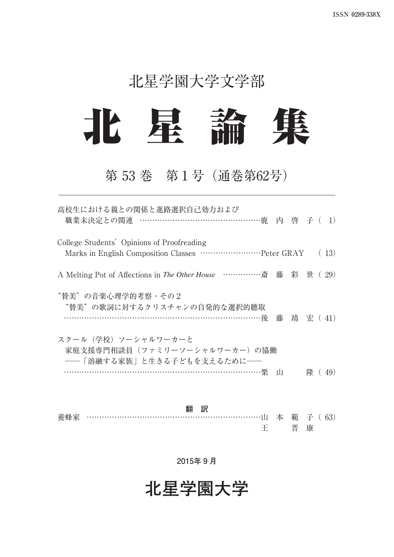## 北星学園大学文学部



## 第 53 巻 第1号(通巻第62号)

| 高校生における親との関係と進路選択自己効力および<br>職業未決定との関連 ……………………………………………鹿 内 啓 子 ( 1)                                             |       |  |        |
|-----------------------------------------------------------------------------------------------------------------|-------|--|--------|
| College Students' Opinions of Proofreading                                                                      |       |  | (13)   |
| A Melting Pot of Affections in The Other House ………………斎藤彩世(29)                                                   |       |  |        |
| "賛美"の音楽心理学的考察・その2<br>"替美"の歌詞に対するクリスチャンの自発的な選択的聴取<br>…………………………………………………………………………後 藤 靖 宏( 41)                    |       |  |        |
| スクール(学校)ソーシャルワーカーと<br>家庭支援専門相談員(ファミリーソーシャルワーカー)の協働<br>――「溶融する家族」と生きる子どもを支えるために――<br>……………………………………………………………………栗 | - 111 |  | 隆 (49) |

**翻 訳** 養蜂家 ……………………………………………………………………山 本 範 子 ( 63) 王 晋 康

**2015年 9 月**

**北星学園大学**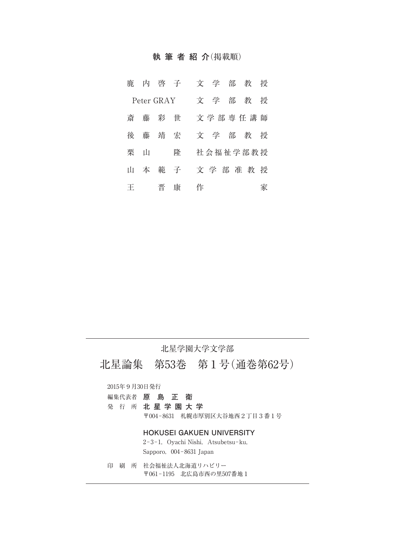#### **執筆者紹介**(掲載順)

| 鹿 |            | 内 啓 子 |     | 文 学<br>部 教<br>授    |
|---|------------|-------|-----|--------------------|
|   | Peter GRAY |       |     | 文学<br>部<br>教<br>授  |
| 斎 |            | 藤彩世   |     | 文学部専任講師            |
|   | 後藤         | 靖 宏   |     | 文 学<br>部<br>授<br>教 |
|   | 栗山         |       | 隆   | 社会福祉学部教授           |
| Ħ | 本          |       | 範 子 | 文学部准教授             |
| 王 |            | 晋     | 康   | 作<br>冢             |

### 北星学園大学文学部

北星論集 第53巻 第1号(通巻第62号)

2015年9月30日発行

- 編集代表者 **原 島 正 衛**
- 発 行 所 **北星学園大学** 〒004-8631 札幌市厚別区大谷地西2丁目3番1号

#### **HOKUSEI GAKUEN UNIVERSITY**

2-3-1, Oyachi Nishi, Atsubetsu-ku, Sapporo,004-8631 Japan

印 刷 所 社会福祉法人北海道リハビリー 〒061-1195 北広島市西の里507番地1